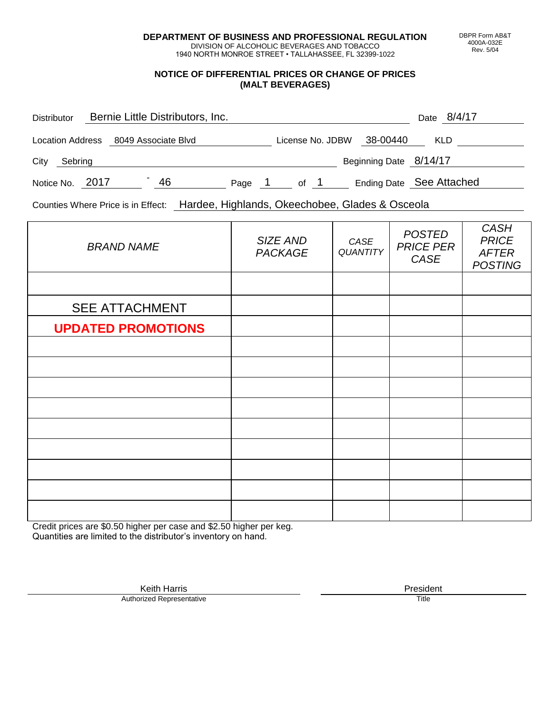**DEPARTMENT OF BUSINESS AND PROFESSIONAL REGULATION** DIVISION OF ALCOHOLIC BEVERAGES AND TOBACCO

1940 NORTH MONROE STREET • TALLAHASSEE, FL 32399-1022

### **NOTICE OF DIFFERENTIAL PRICES OR CHANGE OF PRICES (MALT BEVERAGES)**

| <b>Distributor</b>                   | Bernie Little Distributors, Inc. |    |        |                  |  |                          | Date 8/4/17 |  |
|--------------------------------------|----------------------------------|----|--------|------------------|--|--------------------------|-------------|--|
| Location Address 8049 Associate Blvd |                                  |    |        | License No. JDBW |  | 38-00440                 | <b>KLD</b>  |  |
| City<br>Sebring                      |                                  |    |        |                  |  | Beginning Date 8/14/17   |             |  |
| Notice No. 2017                      |                                  | 46 | Page 1 | of 1             |  | Ending Date See Attached |             |  |

Counties Where Price is in Effect: Hardee, Highlands, Okeechobee, Glades & Osceola

| <b>BRAND NAME</b>         | SIZE AND<br><b>PACKAGE</b> | CASE<br><b>QUANTITY</b> | <b>POSTED</b><br><b>PRICE PER</b><br>CASE | <b>CASH</b><br><b>PRICE</b><br><b>AFTER</b><br><b>POSTING</b> |
|---------------------------|----------------------------|-------------------------|-------------------------------------------|---------------------------------------------------------------|
|                           |                            |                         |                                           |                                                               |
| <b>SEE ATTACHMENT</b>     |                            |                         |                                           |                                                               |
| <b>UPDATED PROMOTIONS</b> |                            |                         |                                           |                                                               |
|                           |                            |                         |                                           |                                                               |
|                           |                            |                         |                                           |                                                               |
|                           |                            |                         |                                           |                                                               |
|                           |                            |                         |                                           |                                                               |
|                           |                            |                         |                                           |                                                               |
|                           |                            |                         |                                           |                                                               |
|                           |                            |                         |                                           |                                                               |
|                           |                            |                         |                                           |                                                               |
|                           |                            |                         |                                           |                                                               |

Credit prices are \$0.50 higher per case and \$2.50 higher per keg. Quantities are limited to the distributor's inventory on hand.

> Keith Harris **President**<br> **President**<br>
> Prized Representative **President** Authorized Representative

DBPR Form AB&T 4000A-032E Rev. 5/04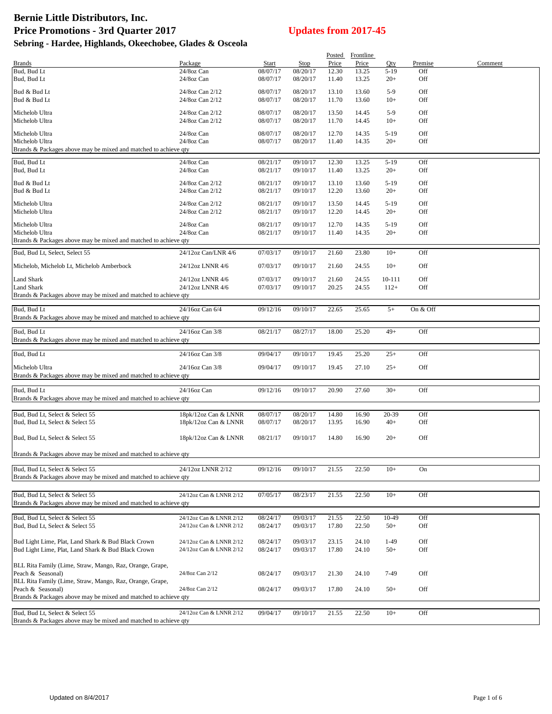# **Bernie Little Distributors, Inc.** Price Promotions - 3rd Quarter 2017<br>
Updates from 2017-45 **Sebring - Hardee, Highlands, Okeechobee, Glades & Osceola**

| <b>Brands</b>                                                                                      | Package                 | Start    |                         | Price | Posted Frontline<br>Price | Qty            | Premise  | Comment |
|----------------------------------------------------------------------------------------------------|-------------------------|----------|-------------------------|-------|---------------------------|----------------|----------|---------|
| Bud, Bud Lt                                                                                        | 24/8oz Can              | 08/07/17 | <b>Stop</b><br>08/20/17 | 12.30 | 13.25                     | $5-19$         | Off      |         |
| Bud, Bud Lt                                                                                        | 24/8oz Can              | 08/07/17 | 08/20/17                | 11.40 | 13.25                     | $20+$          | Off      |         |
| Bud & Bud Lt                                                                                       | 24/8oz Can 2/12         | 08/07/17 | 08/20/17                | 13.10 | 13.60                     | $5-9$          | Off      |         |
| Bud & Bud Lt                                                                                       | 24/8oz Can 2/12         | 08/07/17 | 08/20/17                | 11.70 | 13.60                     | $10+$          | Off      |         |
| Michelob Ultra                                                                                     | 24/8oz Can 2/12         | 08/07/17 | 08/20/17                | 13.50 | 14.45                     | $5-9$          | Off      |         |
| Michelob Ultra                                                                                     | 24/8oz Can 2/12         | 08/07/17 | 08/20/17                | 11.70 | 14.45                     | $10+$          | Off      |         |
| Michelob Ultra                                                                                     | 24/8oz Can              | 08/07/17 | 08/20/17                | 12.70 | 14.35                     | $5-19$         | Off      |         |
| Michelob Ultra                                                                                     | 24/8oz Can              | 08/07/17 | 08/20/17                | 11.40 | 14.35                     | $20+$          | Off      |         |
| Brands & Packages above may be mixed and matched to achieve qty                                    |                         |          |                         |       |                           |                |          |         |
| Bud, Bud Lt                                                                                        | 24/8oz Can              | 08/21/17 | 09/10/17                | 12.30 | 13.25                     | $5-19$         | Off      |         |
| Bud, Bud Lt                                                                                        | 24/8oz Can              | 08/21/17 | 09/10/17                | 11.40 | 13.25                     | $20+$          | Off      |         |
| Bud & Bud Lt                                                                                       | 24/8oz Can 2/12         | 08/21/17 | 09/10/17                | 13.10 | 13.60                     | $5-19$         | Off      |         |
| Bud & Bud Lt                                                                                       | 24/8oz Can 2/12         | 08/21/17 | 09/10/17                | 12.20 | 13.60                     | $20+$          | Off      |         |
| Michelob Ultra                                                                                     | 24/8oz Can 2/12         | 08/21/17 | 09/10/17                | 13.50 | 14.45                     | $5-19$         | Off      |         |
| Michelob Ultra                                                                                     | 24/8oz Can 2/12         | 08/21/17 | 09/10/17                | 12.20 | 14.45                     | $20+$          | Off      |         |
| Michelob Ultra                                                                                     | 24/8oz Can              | 08/21/17 | 09/10/17                | 12.70 | 14.35                     | $5-19$         | Off      |         |
| Michelob Ultra                                                                                     | 24/8oz Can              | 08/21/17 | 09/10/17                | 11.40 | 14.35                     | $20+$          | Off      |         |
| Brands & Packages above may be mixed and matched to achieve qty                                    |                         |          |                         |       |                           |                |          |         |
| Bud, Bud Lt, Select, Select 55                                                                     | 24/12oz Can/LNR 4/6     | 07/03/17 | 09/10/17                | 21.60 | 23.80                     | $10+$          | Off      |         |
| Michelob, Michelob Lt, Michelob Amberbock                                                          | 24/12oz LNNR 4/6        | 07/03/17 | 09/10/17                | 21.60 | 24.55                     | $10+$          | Off      |         |
| Land Shark                                                                                         | 24/12oz LNNR 4/6        | 07/03/17 | 09/10/17                | 21.60 | 24.55                     | 10-111         | Off      |         |
| Land Shark                                                                                         | 24/12oz LNNR 4/6        | 07/03/17 | 09/10/17                | 20.25 | 24.55                     | $112+$         | Off      |         |
| Brands & Packages above may be mixed and matched to achieve qty                                    |                         |          |                         |       |                           |                |          |         |
| Bud, Bud Lt                                                                                        | 24/16oz Can 6/4         | 09/12/16 |                         | 22.65 | 25.65                     | $5+$           | On & Off |         |
| Brands & Packages above may be mixed and matched to achieve qty                                    |                         |          | 09/10/17                |       |                           |                |          |         |
|                                                                                                    |                         |          |                         |       |                           |                |          |         |
| Bud, Bud Lt<br>Brands & Packages above may be mixed and matched to achieve qty                     | 24/16oz Can 3/8         | 08/21/17 | 08/27/17                | 18.00 | 25.20                     | $49+$          | Off      |         |
|                                                                                                    |                         |          |                         |       |                           |                |          |         |
| Bud, Bud Lt                                                                                        | 24/16oz Can 3/8         | 09/04/17 | 09/10/17                | 19.45 | 25.20                     | $25+$          | Off      |         |
| Michelob Ultra                                                                                     | 24/16oz Can 3/8         | 09/04/17 | 09/10/17                | 19.45 | 27.10                     | $25+$          | Off      |         |
| Brands & Packages above may be mixed and matched to achieve qty                                    |                         |          |                         |       |                           |                |          |         |
| Bud, Bud Lt                                                                                        | 24/16oz Can             | 09/12/16 | 09/10/17                | 20.90 | 27.60                     | $30+$          | Off      |         |
| Brands & Packages above may be mixed and matched to achieve qty                                    |                         |          |                         |       |                           |                |          |         |
| Bud, Bud Lt, Select & Select 55                                                                    | 18pk/12oz Can & LNNR    | 08/07/17 | 08/20/17                | 14.80 | 16.90                     | 20-39          | Off      |         |
| Bud, Bud Lt, Select & Select 55                                                                    | 18pk/12oz Can & LNNR    | 08/07/17 | 08/20/17                | 13.95 | 16.90                     | $40+$          | Off      |         |
|                                                                                                    |                         |          |                         |       |                           |                |          |         |
| Bud, Bud Lt, Select & Select 55                                                                    | 18pk/12oz Can & LNNR    | 08/21/17 | 09/10/17                | 14.80 | 16.90                     | $20+$          | Off      |         |
| Brands & Packages above may be mixed and matched to achieve qty                                    |                         |          |                         |       |                           |                |          |         |
|                                                                                                    |                         |          |                         |       |                           |                |          |         |
| Bud, Bud Lt, Select & Select 55<br>Brands & Packages above may be mixed and matched to achieve qty | 24/12oz LNNR 2/12       | 09/12/16 | 09/10/17                | 21.55 | 22.50                     | $10+$          | On       |         |
|                                                                                                    |                         |          |                         |       |                           |                |          |         |
| Bud, Bud Lt, Select & Select 55                                                                    | 24/12oz Can & LNNR 2/12 | 07/05/17 | 08/23/17                | 21.55 | 22.50                     | $10+$          | Off      |         |
| Brands & Packages above may be mixed and matched to achieve qty                                    |                         |          |                         |       |                           |                |          |         |
|                                                                                                    | 24/12oz Can & LNNR 2/12 | 08/24/17 | 09/03/17                | 21.55 |                           |                | Off      |         |
| Bud, Bud Lt, Select & Select 55<br>Bud, Bud Lt, Select & Select 55                                 | 24/12oz Can & LNNR 2/12 | 08/24/17 | 09/03/17                | 17.80 | 22.50<br>22.50            | 10-49<br>$50+$ | Off      |         |
|                                                                                                    |                         |          |                         |       |                           |                |          |         |
| Bud Light Lime, Plat, Land Shark & Bud Black Crown                                                 | 24/12oz Can & LNNR 2/12 | 08/24/17 | 09/03/17                | 23.15 | 24.10                     | $1-49$         | Off      |         |
| Bud Light Lime, Plat, Land Shark & Bud Black Crown                                                 | 24/12oz Can & LNNR 2/12 | 08/24/17 | 09/03/17                | 17.80 | 24.10                     | $50+$          | Off      |         |
| BLL Rita Family (Lime, Straw, Mango, Raz, Orange, Grape,                                           |                         |          |                         |       |                           |                |          |         |
| Peach & Seasonal)                                                                                  | 24/8oz Can 2/12         | 08/24/17 | 09/03/17                | 21.30 | 24.10                     | 7-49           | Off      |         |
| BLL Rita Family (Lime, Straw, Mango, Raz, Orange, Grape,                                           |                         |          |                         |       |                           |                |          |         |
| Peach & Seasonal)<br>Brands & Packages above may be mixed and matched to achieve qty               | 24/8oz Can 2/12         | 08/24/17 | 09/03/17                | 17.80 | 24.10                     | $50+$          | Off      |         |
|                                                                                                    |                         |          |                         |       |                           |                |          |         |
| Bud, Bud Lt, Select & Select 55                                                                    | 24/12oz Can & LNNR 2/12 | 09/04/17 | 09/10/17                | 21.55 | 22.50                     | $10+$          | Off      |         |
| Brands & Packages above may be mixed and matched to achieve qty                                    |                         |          |                         |       |                           |                |          |         |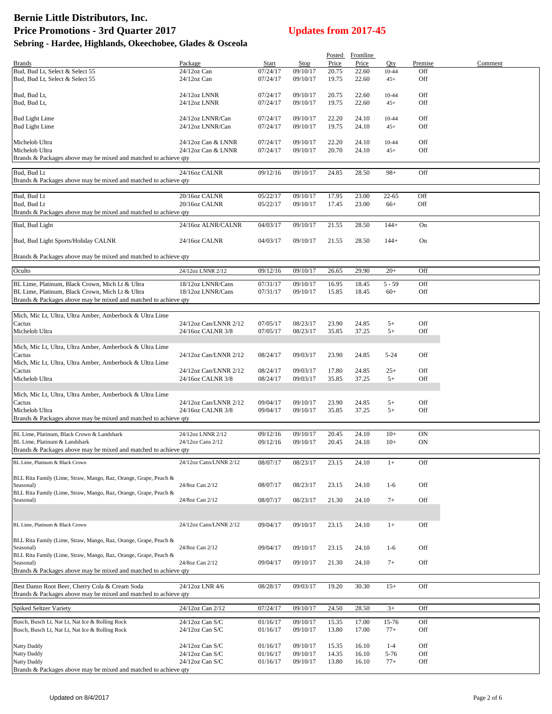# **Bernie Little Distributors, Inc.**

| <b>Price Promotions - 3rd Quarter 2017</b><br>Sebring - Hardee, Highlands, Okeechobee, Glades & Osceola                                                               |                                          |                      | <b>Updates from 2017-45</b> |                |                |                    |            |         |
|-----------------------------------------------------------------------------------------------------------------------------------------------------------------------|------------------------------------------|----------------------|-----------------------------|----------------|----------------|--------------------|------------|---------|
|                                                                                                                                                                       |                                          |                      |                             | Posted         | Frontline      |                    |            |         |
| Brands                                                                                                                                                                | Package                                  | Start                | Stop                        | Price          | Price          | Qty                | Premise    | Comment |
| Bud, Bud Lt, Select & Select 55<br>Bud, Bud Lt, Select & Select 55                                                                                                    | 24/12oz Can<br>$24/12$ oz Can            | 07/24/17<br>07/24/17 | 09/10/17<br>09/10/17        | 20.75<br>19.75 | 22.60<br>22.60 | 10-44<br>$45+$     | Off<br>Off |         |
| Bud, Bud Lt,                                                                                                                                                          | 24/12oz LNNR                             | 07/24/17             | 09/10/17                    | 20.75          | 22.60          | 10-44              | Off        |         |
| Bud, Bud Lt,                                                                                                                                                          | 24/12oz LNNR                             | 07/24/17             | 09/10/17                    | 19.75          | 22.60          | $45+$              | Off        |         |
| <b>Bud Light Lime</b><br><b>Bud Light Lime</b>                                                                                                                        | 24/12oz LNNR/Can<br>24/12oz LNNR/Can     | 07/24/17<br>07/24/17 | 09/10/17<br>09/10/17        | 22.20<br>19.75 | 24.10<br>24.10 | 10-44<br>$45+$     | Off<br>Off |         |
|                                                                                                                                                                       |                                          |                      |                             |                |                |                    |            |         |
| Michelob Ultra<br>Michelob Ultra                                                                                                                                      | 24/12oz Can & LNNR<br>24/12oz Can & LNNR | 07/24/17<br>07/24/17 | 09/10/17<br>09/10/17        | 22.20<br>20.70 | 24.10<br>24.10 | 10-44<br>$45+$     | Off<br>Off |         |
| Brands & Packages above may be mixed and matched to achieve qty                                                                                                       |                                          |                      |                             |                |                |                    |            |         |
|                                                                                                                                                                       |                                          |                      |                             |                |                |                    |            |         |
| Bud, Bud Lt<br>Brands & Packages above may be mixed and matched to achieve qty                                                                                        | 24/16oz CALNR                            | 09/12/16             | 09/10/17                    | 24.85          | 28.50          | $98+$              | Off        |         |
|                                                                                                                                                                       |                                          |                      |                             |                |                |                    |            |         |
| Bud, Bud Lt<br>Bud, Bud Lt                                                                                                                                            | 20/16oz CALNR<br>20/16oz CALNR           | 05/22/17<br>05/22/17 | 09/10/17<br>09/10/17        | 17.95<br>17.45 | 23.00<br>23.00 | $22 - 65$<br>$66+$ | Off<br>Off |         |
| Brands & Packages above may be mixed and matched to achieve gty                                                                                                       |                                          |                      |                             |                |                |                    |            |         |
| Bud, Bud Light                                                                                                                                                        | 24/16oz ALNR/CALNR                       | 04/03/17             | 09/10/17                    | 21.55          | 28.50          | $144+$             | On         |         |
| Bud, Bud Light Sports/Holiday CALNR                                                                                                                                   | 24/16oz CALNR                            | 04/03/17             | 09/10/17                    | 21.55          | 28.50          | $144+$             | On         |         |
| Brands & Packages above may be mixed and matched to achieve qty                                                                                                       |                                          |                      |                             |                |                |                    |            |         |
|                                                                                                                                                                       |                                          |                      |                             |                |                |                    |            |         |
| Oculto                                                                                                                                                                | 24/12oz LNNR 2/12                        | 09/12/16             | 09/10/17                    | 26.65          | 29.90          | $20+$              | Off        |         |
| BL Lime, Platinum, Black Crown, Mich Lt & Ultra<br>BL Lime, Platinum, Black Crown, Mich Lt & Ultra<br>Brands & Packages above may be mixed and matched to achieve qty | 18/12oz LNNR/Cans<br>18/12oz LNNR/Cans   | 07/31/17<br>07/31/17 | 09/10/17<br>09/10/17        | 16.95<br>15.85 | 18.45<br>18.45 | $5 - 59$<br>$60+$  | Off<br>Off |         |
|                                                                                                                                                                       |                                          |                      |                             |                |                |                    |            |         |
| Mich, Mic Lt, Ultra, Ultra Amber, Amberbock & Ultra Lime<br>Cactus                                                                                                    | 24/12oz Can/LNNR 2/12                    | 07/05/17             | 08/23/17                    | 23.90          | 24.85          | $5+$               | Off        |         |
| Michelob Ultra                                                                                                                                                        | 24/16oz CALNR 3/8                        | 07/05/17             | 08/23/17                    | 35.85          | 37.25          | $5+$               | Off        |         |
|                                                                                                                                                                       |                                          |                      |                             |                |                |                    |            |         |
| Mich, Mic Lt, Ultra, Ultra Amber, Amberbock & Ultra Lime<br>Cactus                                                                                                    | 24/12oz Can/LNNR 2/12                    | 08/24/17             | 09/03/17                    | 23.90          | 24.85          | $5 - 24$           | Off        |         |
| Mich, Mic Lt, Ultra, Ultra Amber, Amberbock & Ultra Lime                                                                                                              |                                          |                      |                             |                |                |                    |            |         |
| Cactus                                                                                                                                                                | 24/12oz Can/LNNR 2/12                    | 08/24/17             | 09/03/17                    | 17.80          | 24.85          | $25+$              | Off        |         |
| Michelob Ultra                                                                                                                                                        | 24/16oz CALNR 3/8                        | 08/24/17             | 09/03/17                    | 35.85          | 37.25          | $5+$               | Off        |         |
| Mich, Mic Lt, Ultra, Ultra Amber, Amberbock & Ultra Lime                                                                                                              |                                          |                      |                             |                |                |                    |            |         |
| Cactus                                                                                                                                                                | 24/12oz Can/LNNR 2/12                    | 09/04/17             | 09/10/17                    | 23.90          | 24.85          | $5+$               | Off        |         |
| Michelob Ultra                                                                                                                                                        | 24/160z CALNR 3/8                        | 09/04/17             | 09/10/17                    | 35.85          | 37.25          | $5+$               | Off        |         |
| Brands & Packages above may be mixed and matched to achieve qty                                                                                                       |                                          |                      |                             |                |                |                    |            |         |
| BL Lime, Platinum, Black Crown & Landshark                                                                                                                            | 24/12oz LNNR 2/12                        | 09/12/16             | 09/10/17                    | 20.45          | 24.10          | $10+$              | ON         |         |
| BL Lime, Platinum & Landshark                                                                                                                                         | 24/12oz Cans 2/12                        | 09/12/16             | 09/10/17                    | 20.45          | 24.10          | $10+$              | ON         |         |
| Brands & Packages above may be mixed and matched to achieve qty                                                                                                       |                                          |                      |                             |                |                |                    |            |         |
| BL Lime, Platinum & Black Crown                                                                                                                                       | 24/12oz Cans/LNNR 2/12                   | 08/07/17             | 08/23/17                    | 23.15          | 24.10          | $1+$               | Off        |         |
|                                                                                                                                                                       |                                          |                      |                             |                |                |                    |            |         |
| BLL Rita Family (Lime, Straw, Mango, Raz, Orange, Grape, Peach &                                                                                                      |                                          |                      |                             |                |                |                    |            |         |
| Seasonal)<br>BLL Rita Family (Lime, Straw, Mango, Raz, Orange, Grape, Peach &                                                                                         | 24/8oz Can 2/12                          | 08/07/17             | 08/23/17                    | 23.15          | 24.10          | $1-6$              | Off        |         |
| Seasonal)                                                                                                                                                             | 24/8oz Can 2/12                          | 08/07/17             | 08/23/17                    | 21.30          | 24.10          | $7+$               | Off        |         |
|                                                                                                                                                                       |                                          |                      |                             |                |                |                    |            |         |
| BL Lime, Platinum & Black Crown                                                                                                                                       | 24/12oz Cans/LNNR 2/12                   | 09/04/17             | 09/10/17                    | 23.15          | 24.10          | $1+$               | Off        |         |
| BLL Rita Family (Lime, Straw, Mango, Raz, Orange, Grape, Peach &                                                                                                      |                                          |                      |                             |                |                |                    |            |         |
| Seasonal)<br>BLL Rita Family (Lime, Straw, Mango, Raz, Orange, Grape, Peach &                                                                                         | 24/8oz Can 2/12                          | 09/04/17             | 09/10/17                    | 23.15          | 24.10          | $1-6$              | Off        |         |
| Seasonal)<br>Brands & Packages above may be mixed and matched to achieve qty                                                                                          | 24/8oz Can 2/12                          | 09/04/17             | 09/10/17                    | 21.30          | 24.10          | $7+$               | Off        |         |
|                                                                                                                                                                       |                                          |                      |                             |                |                |                    |            |         |
| Best Damn Root Beer, Cherry Cola & Cream Soda                                                                                                                         | 24/12oz LNR 4/6                          | 08/28/17             | 09/03/17                    | 19.20          | 30.30          | $15+$              | Off        |         |
| Brands & Packages above may be mixed and matched to achieve qty                                                                                                       |                                          |                      |                             |                |                |                    |            |         |
|                                                                                                                                                                       |                                          |                      |                             |                |                |                    |            |         |

| <b>Spiked Seltzer Variety</b>                                   | 24/12oz Can 2/12   | 07/24/17 | 09/10/17 | 24.50 | 28.50 |          | Off |  |  |
|-----------------------------------------------------------------|--------------------|----------|----------|-------|-------|----------|-----|--|--|
|                                                                 |                    |          |          |       |       |          |     |  |  |
| Busch, Busch Lt, Nat Lt, Nat Ice & Rolling Rock                 | $24/12oz$ Can S/C  | 01/16/17 | 09/10/17 | 15.35 | 17.00 | 15-76    | Off |  |  |
| Busch, Busch Lt, Nat Lt, Nat Ice & Rolling Rock                 | $24/12$ oz Can S/C | 01/16/17 | 09/10/17 | 13.80 | 17.00 | $77+$    | Off |  |  |
|                                                                 |                    |          |          |       |       |          |     |  |  |
| Natty Daddy                                                     | $24/12oz$ Can S/C  | 01/16/17 | 09/10/17 | 15.35 | 16.10 | 1-4      | Off |  |  |
| <b>Natty Daddy</b>                                              | $24/12$ oz Can S/C | 01/16/17 | 09/10/17 | 14.35 | 16.10 | $5 - 76$ | Off |  |  |
| Natty Daddy                                                     | $24/12oz$ Can S/C  | 01/16/17 | 09/10/17 | 13.80 | 16.10 | $77+$    | Off |  |  |
| Brands & Packages above may be mixed and matched to achieve gty |                    |          |          |       |       |          |     |  |  |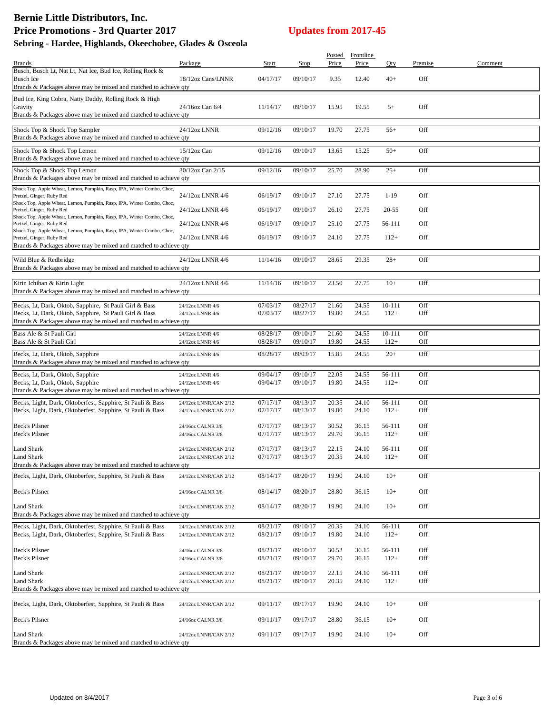# **Bernie Little Distributors, Inc.** Price Promotions - 3rd Quarter 2017<br>
Updates from 2017-45 **Sebring - Hardee, Highlands, Okeechobee, Glades & Osceola**

|                                                                                                                          |                                        |                      |                      |                | Posted Frontline |                  |            |         |
|--------------------------------------------------------------------------------------------------------------------------|----------------------------------------|----------------------|----------------------|----------------|------------------|------------------|------------|---------|
| <b>Brands</b>                                                                                                            | Package                                | Start                | Stop                 | Price          | Price            | Oty              | Premise    | Comment |
| Busch, Busch Lt, Nat Lt, Nat Ice, Bud Ice, Rolling Rock &<br><b>Busch Ice</b>                                            | 18/12oz Cans/LNNR                      | 04/17/17             | 09/10/17             | 9.35           | 12.40            | $40+$            | Off        |         |
| Brands & Packages above may be mixed and matched to achieve qty                                                          |                                        |                      |                      |                |                  |                  |            |         |
| Bud Ice, King Cobra, Natty Daddy, Rolling Rock & High                                                                    |                                        |                      |                      |                |                  |                  |            |         |
| Gravity                                                                                                                  | 24/16oz Can 6/4                        | 11/14/17             | 09/10/17             | 15.95          | 19.55            | $5+$             | Off        |         |
| Brands & Packages above may be mixed and matched to achieve qty                                                          |                                        |                      |                      |                |                  |                  |            |         |
| Shock Top & Shock Top Sampler                                                                                            | 24/12oz LNNR                           | 09/12/16             | 09/10/17             | 19.70          | 27.75            | $56+$            | Off        |         |
| Brands & Packages above may be mixed and matched to achieve qty                                                          |                                        |                      |                      |                |                  |                  |            |         |
| Shock Top & Shock Top Lemon                                                                                              | $15/12$ oz Can                         | 09/12/16             | 09/10/17             | 13.65          | 15.25            | $50+$            | Off        |         |
| Brands & Packages above may be mixed and matched to achieve qty                                                          |                                        |                      |                      |                |                  |                  |            |         |
| Shock Top & Shock Top Lemon                                                                                              | 30/12oz Can 2/15                       | 09/12/16             | 09/10/17             | 25.70          | 28.90            | $25+$            | Off        |         |
| Brands & Packages above may be mixed and matched to achieve qty                                                          |                                        |                      |                      |                |                  |                  |            |         |
| Shock Top, Apple Wheat, Lemon, Pumpkin, Rasp, IPA, Winter Combo, Choc,<br>Pretzel, Ginger, Ruby Red                      | 24/12oz LNNR 4/6                       | 06/19/17             | 09/10/17             | 27.10          | 27.75            | $1-19$           | Off        |         |
| Shock Top, Apple Wheat, Lemon, Pumpkin, Rasp, IPA, Winter Combo, Choc,                                                   |                                        |                      |                      |                |                  |                  |            |         |
| Pretzel, Ginger, Ruby Red                                                                                                | 24/12oz LNNR 4/6                       | 06/19/17             | 09/10/17             | 26.10          | 27.75            | 20-55            | Off        |         |
| Shock Top, Apple Wheat, Lemon, Pumpkin, Rasp, IPA, Winter Combo, Choc,<br>Pretzel, Ginger, Ruby Red                      | 24/12oz LNNR 4/6                       | 06/19/17             | 09/10/17             | 25.10          | 27.75            | 56-111           | Off        |         |
| Shock Top, Apple Wheat, Lemon, Pumpkin, Rasp, IPA, Winter Combo, Choc,                                                   |                                        |                      |                      |                |                  |                  |            |         |
| Pretzel, Ginger, Ruby Red<br>Brands & Packages above may be mixed and matched to achieve qty                             | 24/12oz LNNR 4/6                       | 06/19/17             | 09/10/17             | 24.10          | 27.75            | $112+$           | Off        |         |
|                                                                                                                          |                                        |                      |                      |                |                  |                  |            |         |
| Wild Blue & Redbridge                                                                                                    | 24/12oz LNNR 4/6                       | 11/14/16             | 09/10/17             | 28.65          | 29.35            | $28+$            | Off        |         |
| Brands & Packages above may be mixed and matched to achieve qty                                                          |                                        |                      |                      |                |                  |                  |            |         |
| Kirin Ichiban & Kirin Light                                                                                              | 24/12oz LNNR 4/6                       | 11/14/16             | 09/10/17             | 23.50          | 27.75            | $10+$            | Off        |         |
| Brands & Packages above may be mixed and matched to achieve qty                                                          |                                        |                      |                      |                |                  |                  |            |         |
| Becks, Lt, Dark, Oktob, Sapphire, St Pauli Girl & Bass                                                                   | 24/12oz LNNR 4/6                       | 07/03/17             | 08/27/17             | 21.60          | 24.55            | $10 - 111$       | Off        |         |
| Becks, Lt, Dark, Oktob, Sapphire, St Pauli Girl & Bass                                                                   | 24/12oz LNNR 4/6                       | 07/03/17             | 08/27/17             | 19.80          | 24.55            | $112+$           | Off        |         |
| Brands & Packages above may be mixed and matched to achieve qty                                                          |                                        |                      |                      |                |                  |                  |            |         |
| Bass Ale & St Pauli Girl                                                                                                 | 24/12oz LNNR 4/6                       | 08/28/17             | 09/10/17             | 21.60          | 24.55            | $10 - 111$       | Off        |         |
| Bass Ale & St Pauli Girl                                                                                                 | 24/12oz LNNR 4/6                       | 08/28/17             | 09/10/17             | 19.80          | 24.55            | $112+$           | Off        |         |
| Becks, Lt, Dark, Oktob, Sapphire                                                                                         | 24/12oz LNNR 4/6                       | 08/28/17             | 09/03/17             | 15.85          | 24.55            | $20+$            | Off        |         |
| Brands & Packages above may be mixed and matched to achieve qty                                                          |                                        |                      |                      |                |                  |                  |            |         |
| Becks, Lt, Dark, Oktob, Sapphire                                                                                         | 24/12oz LNNR 4/6                       | 09/04/17             | 09/10/17             | 22.05          | 24.55            | 56-111           | Off        |         |
| Becks, Lt, Dark, Oktob, Sapphire                                                                                         | 24/12oz LNNR 4/6                       | 09/04/17             | 09/10/17             | 19.80          | 24.55            | $112+$           | Off        |         |
| Brands & Packages above may be mixed and matched to achieve qty                                                          |                                        |                      |                      |                |                  |                  |            |         |
| Becks, Light, Dark, Oktoberfest, Sapphire, St Pauli & Bass                                                               | 24/12oz LNNR/CAN 2/12                  | 07/17/17             | 08/13/17             | 20.35          | 24.10            | 56-111           | Off        |         |
| Becks, Light, Dark, Oktoberfest, Sapphire, St Pauli & Bass                                                               | 24/12oz LNNR/CAN 2/12                  | 07/17/17             | 08/13/17             | 19.80          | 24.10            | $112+$           | Off        |         |
|                                                                                                                          |                                        |                      |                      |                |                  |                  |            |         |
| Beck's Pilsner<br><b>Beck's Pilsner</b>                                                                                  | 24/16oz CALNR 3/8<br>24/16oz CALNR 3/8 | 07/17/17<br>07/17/17 | 08/13/17<br>08/13/17 | 30.52<br>29.70 | 36.15<br>36.15   | 56-111<br>$112+$ | Off<br>Off |         |
|                                                                                                                          |                                        |                      |                      |                |                  |                  |            |         |
| <b>Land Shark</b>                                                                                                        | 24/12oz LNNR/CAN 2/12                  | 07/17/17             | 08/13/17             | 22.15          | 24.10            | 56-111           | Off        |         |
| Land Shark<br>Brands & Packages above may be mixed and matched to achieve qty                                            | 24/12oz LNNR/CAN 2/12                  | 07/17/17             | 08/13/17             | 20.35          | 24.10            | $112+$           | Off        |         |
|                                                                                                                          |                                        |                      |                      |                |                  |                  |            |         |
| Becks, Light, Dark, Oktoberfest, Sapphire, St Pauli & Bass                                                               | 24/12oz LNNR/CAN 2/12                  | 08/14/17             | 08/20/17             | 19.90          | 24.10            | $10+$            | Off        |         |
| Beck's Pilsner                                                                                                           | 24/16oz CALNR 3/8                      | 08/14/17             | 08/20/17             | 28.80          | 36.15            | $10+$            | Off        |         |
|                                                                                                                          |                                        |                      |                      |                |                  |                  |            |         |
| <b>Land Shark</b>                                                                                                        | 24/12oz LNNR/CAN 2/12                  | 08/14/17             | 08/20/17             | 19.90          | 24.10            | $10+$            | Off        |         |
| Brands & Packages above may be mixed and matched to achieve qty                                                          |                                        |                      |                      |                |                  |                  |            |         |
| Becks, Light, Dark, Oktoberfest, Sapphire, St Pauli & Bass<br>Becks, Light, Dark, Oktoberfest, Sapphire, St Pauli & Bass | 24/12oz LNNR/CAN 2/12                  | 08/21/17<br>08/21/17 | 09/10/17<br>09/10/17 | 20.35<br>19.80 | 24.10<br>24.10   | 56-111<br>$112+$ | Off<br>Off |         |
|                                                                                                                          | 24/12oz LNNR/CAN 2/12                  |                      |                      |                |                  |                  |            |         |
| <b>Beck's Pilsner</b>                                                                                                    | 24/16oz CALNR 3/8                      | 08/21/17             | 09/10/17             | 30.52          | 36.15            | 56-111           | Off        |         |
| Beck's Pilsner                                                                                                           | 24/16oz CALNR 3/8                      | 08/21/17             | 09/10/17             | 29.70          | 36.15            | $112+$           | Off        |         |
| <b>Land Shark</b>                                                                                                        | 24/12oz LNNR/CAN 2/12                  | 08/21/17             | 09/10/17             | 22.15          | 24.10            | 56-111           | Off        |         |
| Land Shark                                                                                                               | 24/12oz LNNR/CAN 2/12                  | 08/21/17             | 09/10/17             | 20.35          | 24.10            | $112+$           | Off        |         |
| Brands & Packages above may be mixed and matched to achieve qty                                                          |                                        |                      |                      |                |                  |                  |            |         |
| Becks, Light, Dark, Oktoberfest, Sapphire, St Pauli & Bass                                                               | 24/12oz LNNR/CAN 2/12                  | 09/11/17             | 09/17/17             | 19.90          | 24.10            | $10+$            | Off        |         |
|                                                                                                                          |                                        |                      |                      |                |                  |                  |            |         |
| Beck's Pilsner                                                                                                           | 24/16oz CALNR 3/8                      | 09/11/17             | 09/17/17             | 28.80          | 36.15            | $10+$            | Off        |         |
| <b>Land Shark</b>                                                                                                        |                                        |                      |                      |                |                  |                  |            |         |
| Brands & Packages above may be mixed and matched to achieve qty                                                          | 24/12oz LNNR/CAN 2/12                  | 09/11/17             | 09/17/17             | 19.90          | 24.10            | $10+$            | Off        |         |
|                                                                                                                          |                                        |                      |                      |                |                  |                  |            |         |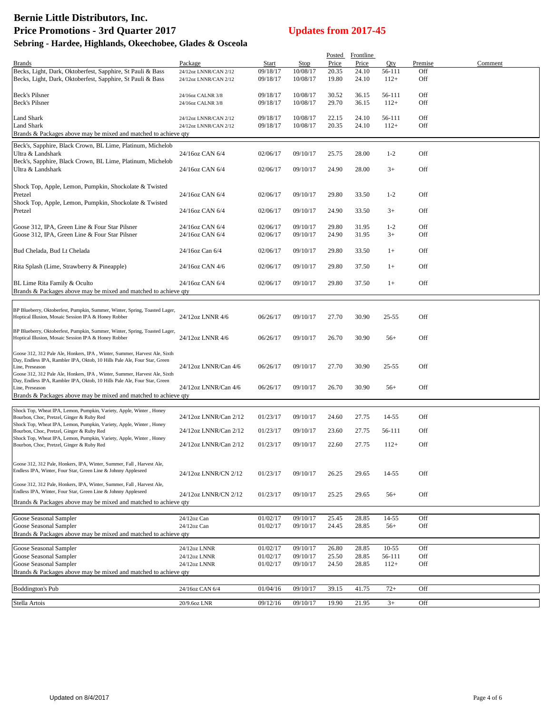# **Bernie Little Distributors, Inc.** Price Promotions - 3rd Quarter 2017<br>
Updates from 2017-45

### **Sebring - Hardee, Highlands, Okeechobee, Glades & Osceola**

|                                                                                                                                                        |                                    |          |             |       | Posted Frontline |           |         |         |
|--------------------------------------------------------------------------------------------------------------------------------------------------------|------------------------------------|----------|-------------|-------|------------------|-----------|---------|---------|
| <b>Brands</b>                                                                                                                                          | Package                            | Start    | <b>Stop</b> | Price | Price            | Qty       | Premise | Comment |
| Becks, Light, Dark, Oktoberfest, Sapphire, St Pauli & Bass                                                                                             | 24/12oz LNNR/CAN 2/12              | 09/18/17 | 10/08/17    | 20.35 | 24.10            | 56-111    | Off     |         |
| Becks, Light, Dark, Oktoberfest, Sapphire, St Pauli & Bass                                                                                             | 24/12oz LNNR/CAN 2/12              | 09/18/17 | 10/08/17    | 19.80 | 24.10            | $112+$    | Off     |         |
|                                                                                                                                                        |                                    |          |             |       |                  |           |         |         |
| <b>Beck's Pilsner</b>                                                                                                                                  | 24/16oz CALNR 3/8                  | 09/18/17 | 10/08/17    | 30.52 | 36.15            | 56-111    | Off     |         |
| Beck's Pilsner                                                                                                                                         | 24/16oz CALNR 3/8                  | 09/18/17 | 10/08/17    | 29.70 | 36.15            | $112+$    | Off     |         |
| <b>Land Shark</b>                                                                                                                                      | 24/12oz LNNR/CAN 2/12              | 09/18/17 | 10/08/17    | 22.15 | 24.10            | 56-111    | Off     |         |
| <b>Land Shark</b>                                                                                                                                      | 24/12oz LNNR/CAN 2/12              | 09/18/17 | 10/08/17    | 20.35 | 24.10            | $112+$    | Off     |         |
| Brands & Packages above may be mixed and matched to achieve qty                                                                                        |                                    |          |             |       |                  |           |         |         |
|                                                                                                                                                        |                                    |          |             |       |                  |           |         |         |
| Beck's, Sapphire, Black Crown, BL Lime, Platinum, Michelob                                                                                             |                                    |          |             |       |                  |           |         |         |
| Ultra & Landshark                                                                                                                                      | 24/16oz CAN 6/4                    | 02/06/17 | 09/10/17    | 25.75 | 28.00            | $1 - 2$   | Off     |         |
| Beck's, Sapphire, Black Crown, BL Lime, Platinum, Michelob                                                                                             |                                    |          |             |       |                  |           |         |         |
| Ultra & Landshark                                                                                                                                      | 24/16oz CAN 6/4                    | 02/06/17 | 09/10/17    | 24.90 | 28.00            | $3+$      | Off     |         |
|                                                                                                                                                        |                                    |          |             |       |                  |           |         |         |
| Shock Top, Apple, Lemon, Pumpkin, Shockolate & Twisted                                                                                                 |                                    |          |             |       |                  |           |         |         |
| Pretzel                                                                                                                                                | 24/16oz CAN 6/4                    | 02/06/17 | 09/10/17    | 29.80 | 33.50            | $1 - 2$   | Off     |         |
| Shock Top, Apple, Lemon, Pumpkin, Shockolate & Twisted                                                                                                 | 24/16oz CAN 6/4                    | 02/06/17 | 09/10/17    | 24.90 | 33.50            | $3+$      | Off     |         |
| Pretzel                                                                                                                                                |                                    |          |             |       |                  |           |         |         |
|                                                                                                                                                        |                                    | 02/06/17 | 09/10/17    | 29.80 |                  | $1 - 2$   | Off     |         |
| Goose 312, IPA, Green Line & Four Star Pilsner<br>Goose 312, IPA, Green Line & Four Star Pilsner                                                       | 24/16oz CAN 6/4<br>24/16oz CAN 6/4 | 02/06/17 | 09/10/17    | 24.90 | 31.95<br>31.95   | $3+$      | Off     |         |
|                                                                                                                                                        |                                    |          |             |       |                  |           |         |         |
| Bud Chelada, Bud Lt Chelada                                                                                                                            | 24/16oz Can 6/4                    | 02/06/17 | 09/10/17    | 29.80 | 33.50            | $1+$      | Off     |         |
|                                                                                                                                                        |                                    |          |             |       |                  |           |         |         |
| Rita Splash (Lime, Strawberry & Pineapple)                                                                                                             | 24/16oz CAN 4/6                    | 02/06/17 | 09/10/17    | 29.80 | 37.50            | $1+$      | Off     |         |
|                                                                                                                                                        |                                    |          |             |       |                  |           |         |         |
| BL Lime Rita Family & Oculto                                                                                                                           | 24/16oz CAN 6/4                    | 02/06/17 | 09/10/17    | 29.80 | 37.50            | $1+$      | Off     |         |
| Brands & Packages above may be mixed and matched to achieve qty                                                                                        |                                    |          |             |       |                  |           |         |         |
|                                                                                                                                                        |                                    |          |             |       |                  |           |         |         |
|                                                                                                                                                        |                                    |          |             |       |                  |           |         |         |
| BP Blueberry, Oktoberfest, Pumpkin, Summer, Winter, Spring, Toasted Lager,<br>Hoptical Illusion, Mosaic Session IPA & Honey Robber                     | 24/12oz LNNR 4/6                   | 06/26/17 | 09/10/17    | 27.70 | 30.90            | $25 - 55$ | Off     |         |
|                                                                                                                                                        |                                    |          |             |       |                  |           |         |         |
| BP Blueberry, Oktoberfest, Pumpkin, Summer, Winter, Spring, Toasted Lager,                                                                             |                                    |          |             |       |                  |           |         |         |
| Hoptical Illusion, Mosaic Session IPA & Honey Robber                                                                                                   | 24/12oz LNNR 4/6                   | 06/26/17 | 09/10/17    | 26.70 | 30.90            | $56+$     | Off     |         |
|                                                                                                                                                        |                                    |          |             |       |                  |           |         |         |
| Goose 312, 312 Pale Ale, Honkers, IPA, Winter, Summer, Harvest Ale, Sixth<br>Day, Endless IPA, Rambler IPA, Oktob, 10 Hills Pale Ale, Four Star, Green |                                    |          |             |       |                  |           |         |         |
| Line, Preseason                                                                                                                                        | 24/12oz LNNR/Can 4/6               | 06/26/17 | 09/10/17    | 27.70 | 30.90            | $25 - 55$ | Off     |         |
| Goose 312, 312 Pale Ale, Honkers, IPA, Winter, Summer, Harvest Ale, Sixth                                                                              |                                    |          |             |       |                  |           |         |         |
| Day, Endless IPA, Rambler IPA, Oktob, 10 Hills Pale Ale, Four Star, Green                                                                              |                                    |          |             |       |                  |           |         |         |
| Line, Preseason                                                                                                                                        | 24/12oz LNNR/Can 4/6               | 06/26/17 | 09/10/17    | 26.70 | 30.90            | $56+$     | Off     |         |
| Brands & Packages above may be mixed and matched to achieve qty                                                                                        |                                    |          |             |       |                  |           |         |         |
|                                                                                                                                                        |                                    |          |             |       |                  |           |         |         |
| Shock Top, Wheat IPA, Lemon, Pumpkin, Variety, Apple, Winter, Honey<br>Bourbon, Choc, Pretzel, Ginger & Ruby Red                                       | 24/12oz LNNR/Can 2/12              | 01/23/17 | 09/10/17    | 24.60 | 27.75            | 14-55     | Off     |         |
| Shock Top, Wheat IPA, Lemon, Pumpkin, Variety, Apple, Winter, Honey                                                                                    |                                    |          |             |       |                  |           |         |         |
| Bourbon, Choc, Pretzel, Ginger & Ruby Red                                                                                                              | 24/12oz LNNR/Can 2/12              | 01/23/17 | 09/10/17    | 23.60 | 27.75            | 56-111    | Off     |         |
| Shock Top, Wheat IPA, Lemon, Pumpkin, Variety, Apple, Winter, Honey                                                                                    |                                    |          |             |       |                  |           |         |         |
| Bourbon, Choc, Pretzel, Ginger & Ruby Red                                                                                                              | 24/12oz LNNR/Can 2/12              | 01/23/17 | 09/10/17    | 22.60 | 27.75            | $112+$    | Off     |         |
|                                                                                                                                                        |                                    |          |             |       |                  |           |         |         |
| Goose 312, 312 Pale, Honkers, IPA, Winter, Summer, Fall, Harvest Ale,                                                                                  |                                    |          |             |       |                  |           |         |         |
| Endless IPA, Winter, Four Star, Green Line & Johnny Appleseed                                                                                          | 24/12oz LNNR/CN 2/12               | 01/23/17 | 09/10/17    | 26.25 | 29.65            | 14-55     | Off     |         |
| Goose 312, 312 Pale, Honkers, IPA, Winter, Summer, Fall, Harvest Ale,                                                                                  |                                    |          |             |       |                  |           |         |         |
| Endless IPA, Winter, Four Star, Green Line & Johnny Appleseed                                                                                          |                                    |          |             |       |                  |           |         |         |
|                                                                                                                                                        | 24/12oz LNNR/CN 2/12               | 01/23/17 | 09/10/17    | 25.25 | 29.65            | $56+$     | Off     |         |
| Brands & Packages above may be mixed and matched to achieve qty                                                                                        |                                    |          |             |       |                  |           |         |         |
| Goose Seasonal Sampler                                                                                                                                 | 24/12oz Can                        | 01/02/17 | 09/10/17    | 25.45 | 28.85            | 14-55     | Off     |         |
| Goose Seasonal Sampler                                                                                                                                 | 24/12oz Can                        | 01/02/17 | 09/10/17    | 24.45 | 28.85            | $56+$     | Off     |         |
| Brands & Packages above may be mixed and matched to achieve qty                                                                                        |                                    |          |             |       |                  |           |         |         |
|                                                                                                                                                        |                                    |          |             |       |                  |           |         |         |
| Goose Seasonal Sampler                                                                                                                                 | 24/12oz LNNR                       | 01/02/17 | 09/10/17    | 26.80 | 28.85            | $10 - 55$ | Off     |         |
| Goose Seasonal Sampler                                                                                                                                 | 24/12oz LNNR                       | 01/02/17 | 09/10/17    | 25.50 | 28.85            | 56-111    | Off     |         |
| Goose Seasonal Sampler                                                                                                                                 | 24/12oz LNNR                       | 01/02/17 | 09/10/17    | 24.50 | 28.85            | $112+$    | Off     |         |
| Brands & Packages above may be mixed and matched to achieve qty                                                                                        |                                    |          |             |       |                  |           |         |         |
|                                                                                                                                                        |                                    |          |             |       |                  |           |         |         |
| Boddington's Pub                                                                                                                                       | 24/16oz CAN 6/4                    | 01/04/16 | 09/10/17    | 39.15 | 41.75            | $72+$     | Off     |         |
|                                                                                                                                                        |                                    |          |             |       |                  |           |         |         |
| Stella Artois                                                                                                                                          | 20/9.6oz LNR                       | 09/12/16 | 09/10/17    | 19.90 | 21.95            | $3+$      | Off     |         |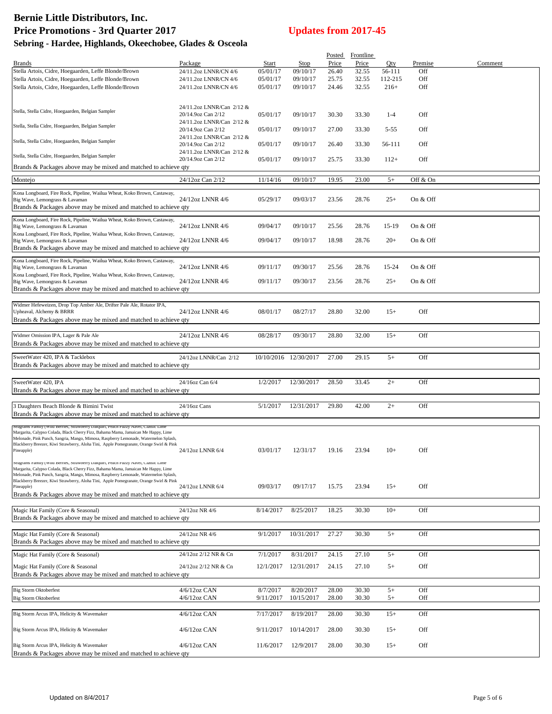# **Bernie Little Distributors, Inc.** Price Promotions - 3rd Quarter 2017<br>
Updates from 2017-45

| Sebring - Hardee, Highlands, Okeechobee, Glades & Osceola |  |  |  |  |
|-----------------------------------------------------------|--|--|--|--|
|-----------------------------------------------------------|--|--|--|--|

|                                                                                                                                                                            |                           |           |                       |       | Posted Frontline |         |          |         |
|----------------------------------------------------------------------------------------------------------------------------------------------------------------------------|---------------------------|-----------|-----------------------|-------|------------------|---------|----------|---------|
| <b>Brands</b>                                                                                                                                                              | Package                   | Start     | <b>Stop</b>           | Price | Price            | Qty     | Premise  | Comment |
| Stella Artois, Cidre, Hoegaarden, Leffe Blonde/Brown                                                                                                                       | 24/11.2oz LNNR/CN 4/6     | 05/01/17  | 09/10/17              | 26.40 | 32.55            | 56-111  | Off      |         |
| Stella Artois, Cidre, Hoegaarden, Leffe Blonde/Brown                                                                                                                       | 24/11.2oz LNNR/CN 4/6     | 05/01/17  | 09/10/17              | 25.75 | 32.55            | 112-215 | Off      |         |
| Stella Artois, Cidre, Hoegaarden, Leffe Blonde/Brown                                                                                                                       | 24/11.2oz LNNR/CN 4/6     | 05/01/17  | 09/10/17              | 24.46 | 32.55            | $216+$  | Off      |         |
|                                                                                                                                                                            |                           |           |                       |       |                  |         |          |         |
|                                                                                                                                                                            |                           |           |                       |       |                  |         |          |         |
|                                                                                                                                                                            | 24/11.2oz LNNR/Can 2/12 & |           |                       |       |                  |         |          |         |
| Stella, Stella Cidre, Hoegaarden, Belgian Sampler                                                                                                                          | 20/14.9oz Can 2/12        | 05/01/17  | 09/10/17              | 30.30 | 33.30            | $1 - 4$ | Off      |         |
|                                                                                                                                                                            | 24/11.2oz LNNR/Can 2/12 & |           |                       |       |                  |         |          |         |
| Stella, Stella Cidre, Hoegaarden, Belgian Sampler                                                                                                                          | 20/14.9oz Can 2/12        | 05/01/17  | 09/10/17              | 27.00 | 33.30            | 5-55    | Off      |         |
|                                                                                                                                                                            | 24/11.2oz LNNR/Can 2/12 & |           |                       |       |                  |         |          |         |
| Stella, Stella Cidre, Hoegaarden, Belgian Sampler                                                                                                                          | 20/14.9oz Can 2/12        | 05/01/17  | 09/10/17              | 26.40 | 33.30            | 56-111  | Off      |         |
|                                                                                                                                                                            | 24/11.2oz LNNR/Can 2/12 & |           |                       |       |                  |         |          |         |
| Stella, Stella Cidre, Hoegaarden, Belgian Sampler                                                                                                                          | 20/14.9oz Can 2/12        | 05/01/17  | 09/10/17              | 25.75 | 33.30            | $112+$  | Off      |         |
| Brands & Packages above may be mixed and matched to achieve qty                                                                                                            |                           |           |                       |       |                  |         |          |         |
|                                                                                                                                                                            |                           |           |                       |       |                  |         |          |         |
| Montejo                                                                                                                                                                    | 24/12oz Can 2/12          | 11/14/16  | 09/10/17              | 19.95 | 23.00            | $5+$    | Off & On |         |
|                                                                                                                                                                            |                           |           |                       |       |                  |         |          |         |
| Kona Longboard, Fire Rock, Pipeline, Wailua Wheat, Koko Brown, Castaway,                                                                                                   |                           |           |                       |       |                  |         |          |         |
| Big Wave, Lemongrass & Lavaman                                                                                                                                             | 24/12oz LNNR 4/6          | 05/29/17  | 09/03/17              | 23.56 | 28.76            | $25+$   | On & Off |         |
| Brands & Packages above may be mixed and matched to achieve qty                                                                                                            |                           |           |                       |       |                  |         |          |         |
|                                                                                                                                                                            |                           |           |                       |       |                  |         |          |         |
| Kona Longboard, Fire Rock, Pipeline, Wailua Wheat, Koko Brown, Castaway,                                                                                                   |                           |           |                       |       |                  |         |          |         |
| Big Wave, Lemongrass & Lavaman                                                                                                                                             | 24/12oz LNNR 4/6          | 09/04/17  | 09/10/17              | 25.56 | 28.76            | 15-19   | On & Off |         |
| Kona Longboard, Fire Rock, Pipeline, Wailua Wheat, Koko Brown, Castaway,                                                                                                   |                           |           |                       |       |                  |         |          |         |
| Big Wave, Lemongrass & Lavaman                                                                                                                                             | 24/12oz LNNR 4/6          | 09/04/17  | 09/10/17              | 18.98 | 28.76            | $20+$   | On & Off |         |
| Brands & Packages above may be mixed and matched to achieve qty                                                                                                            |                           |           |                       |       |                  |         |          |         |
| Kona Longboard, Fire Rock, Pipeline, Wailua Wheat, Koko Brown, Castaway,                                                                                                   |                           |           |                       |       |                  |         |          |         |
| Big Wave, Lemongrass & Lavaman                                                                                                                                             | 24/12oz LNNR 4/6          | 09/11/17  | 09/30/17              | 25.56 | 28.76            | 15-24   | On & Off |         |
| Kona Longboard, Fire Rock, Pipeline, Wailua Wheat, Koko Brown, Castaway,                                                                                                   |                           |           |                       |       |                  |         |          |         |
| Big Wave, Lemongrass & Lavaman                                                                                                                                             | 24/12oz LNNR 4/6          | 09/11/17  | 09/30/17              | 23.56 | 28.76            | $25+$   | On & Off |         |
| Brands & Packages above may be mixed and matched to achieve qty                                                                                                            |                           |           |                       |       |                  |         |          |         |
|                                                                                                                                                                            |                           |           |                       |       |                  |         |          |         |
|                                                                                                                                                                            |                           |           |                       |       |                  |         |          |         |
| Widmer Hefeweizen, Drop Top Amber Ale, Drifter Pale Ale, Rotator IPA,                                                                                                      |                           |           |                       |       |                  |         |          |         |
| Upheaval, Alchemy & BRRR                                                                                                                                                   | 24/12oz LNNR 4/6          | 08/01/17  | 08/27/17              | 28.80 | 32.00            | $15+$   | Off      |         |
| Brands & Packages above may be mixed and matched to achieve qty                                                                                                            |                           |           |                       |       |                  |         |          |         |
|                                                                                                                                                                            |                           |           |                       |       |                  |         |          |         |
| Widmer Omission IPA, Lager & Pale Ale                                                                                                                                      | 24/12oz LNNR 4/6          | 08/28/17  | 09/30/17              | 28.80 | 32.00            | $15+$   | Off      |         |
| Brands & Packages above may be mixed and matched to achieve qty                                                                                                            |                           |           |                       |       |                  |         |          |         |
|                                                                                                                                                                            |                           |           |                       |       |                  |         |          |         |
| SweetWater 420, IPA & Tacklebox                                                                                                                                            | 24/12oz LNNR/Can 2/12     |           | 10/10/2016 12/30/2017 | 27.00 | 29.15            | $5+$    | Off      |         |
| Brands & Packages above may be mixed and matched to achieve qty                                                                                                            |                           |           |                       |       |                  |         |          |         |
|                                                                                                                                                                            |                           |           |                       |       |                  |         |          |         |
| SweetWater 420, IPA                                                                                                                                                        | 24/16oz Can 6/4           | 1/2/2017  | 12/30/2017            | 28.50 | 33.45            | $2+$    | Off      |         |
|                                                                                                                                                                            |                           |           |                       |       |                  |         |          |         |
| Brands & Packages above may be mixed and matched to achieve qty                                                                                                            |                           |           |                       |       |                  |         |          |         |
|                                                                                                                                                                            |                           |           |                       |       |                  |         |          |         |
| 3 Daughters Beach Blonde & Bimini Twist                                                                                                                                    | 24/16oz Cans              | 5/1/2017  | 12/31/2017            | 29.80 | 42.00            | $2+$    | Off      |         |
| Brands & Packages above may be mixed and matched to achieve qty                                                                                                            |                           |           |                       |       |                  |         |          |         |
|                                                                                                                                                                            |                           |           |                       |       |                  |         |          |         |
| Seagrams ramily (Wild Berries, Strawberry Daiquiri, Peach Fuzzy Navel, Classic Lime                                                                                        |                           |           |                       |       |                  |         |          |         |
| Margarita, Calypso Colada, Black Cherry Fizz, Bahama Mama, Jamaican Me Happy, Lime<br>Melonade, Pink Punch, Sangria, Mango, Mimosa, Raspberry Lemonade, Watermelon Splash, |                           |           |                       |       |                  |         |          |         |
| Blackberry Breezer, Kiwi Strawberry, Aloha Tini, Apple Pomegranate, Orange Swirl & Pink                                                                                    |                           |           |                       |       |                  |         |          |         |
| Pineapple)                                                                                                                                                                 | 24/12oz LNNR 6/4          | 03/01/17  | 12/31/17              | 19.16 | 23.94            | $10+$   | Off      |         |
|                                                                                                                                                                            |                           |           |                       |       |                  |         |          |         |
| Seagrams Family (Wild Berries, Strawberry Daiquiri, Peach Fuzzy Navel, Classic Lime                                                                                        |                           |           |                       |       |                  |         |          |         |
| Margarita, Calypso Colada, Black Cherry Fizz, Bahama Mama, Jamaican Me Happy, Lime<br>Melonade, Pink Punch, Sangria, Mango, Mimosa, Raspberry Lemonade, Watermelon Splash, |                           |           |                       |       |                  |         |          |         |
| Blackberry Breezer, Kiwi Strawberry, Aloha Tini, Apple Pomegranate, Orange Swirl & Pink                                                                                    |                           |           |                       |       |                  |         |          |         |
| Pineapple)                                                                                                                                                                 | 24/12oz LNNR 6/4          | 09/03/17  | 09/17/17              | 15.75 | 23.94            | $15+$   | Off      |         |
| Brands & Packages above may be mixed and matched to achieve gty                                                                                                            |                           |           |                       |       |                  |         |          |         |
|                                                                                                                                                                            |                           |           |                       |       |                  |         |          |         |
| Magic Hat Family (Core & Seasonal)                                                                                                                                         | 24/12oz NR 4/6            | 8/14/2017 | 8/25/2017             | 18.25 | 30.30            | $10+$   | Off      |         |
| Brands & Packages above may be mixed and matched to achieve qty                                                                                                            |                           |           |                       |       |                  |         |          |         |
|                                                                                                                                                                            |                           |           |                       |       |                  |         |          |         |
|                                                                                                                                                                            |                           |           |                       |       |                  |         |          |         |
| Magic Hat Family (Core & Seasonal)                                                                                                                                         | 24/12oz NR 4/6            | 9/1/2017  | 10/31/2017            | 27.27 | 30.30            | $5+$    | Off      |         |
| Brands & Packages above may be mixed and matched to achieve qty                                                                                                            |                           |           |                       |       |                  |         |          |         |
|                                                                                                                                                                            | 24/12oz 2/12 NR & Cn      |           |                       |       |                  |         |          |         |
| Magic Hat Family (Core & Seasonal)                                                                                                                                         |                           | 7/1/2017  | 8/31/2017             | 24.15 | 27.10            | $5+$    | Off      |         |
| Magic Hat Family (Core & Seasonal                                                                                                                                          | 24/12oz 2/12 NR & Cn      | 12/1/2017 | 12/31/2017            | 24.15 | 27.10            | $5+$    | Off      |         |
| Brands & Packages above may be mixed and matched to achieve qty                                                                                                            |                           |           |                       |       |                  |         |          |         |
|                                                                                                                                                                            |                           |           |                       |       |                  |         |          |         |
|                                                                                                                                                                            |                           |           |                       |       |                  |         |          |         |
| <b>Big Storm Oktoberfest</b>                                                                                                                                               | 4/6/12oz CAN              | 8/7/2017  | 8/20/2017             | 28.00 | 30.30            | $5+$    | Off      |         |
| <b>Big Storm Oktoberfest</b>                                                                                                                                               | $4/6/12$ oz CAN           | 9/11/2017 | 10/15/2017            | 28.00 | 30.30            | $5+$    | Off      |         |
|                                                                                                                                                                            |                           |           |                       |       |                  |         |          |         |
| Big Storm Arcus IPA, Helicity & Wavemaker                                                                                                                                  | 4/6/12oz CAN              | 7/17/2017 | 8/19/2017             | 28.00 | 30.30            | $15+$   | Off      |         |
|                                                                                                                                                                            |                           |           |                       |       |                  |         |          |         |
| Big Storm Arcus IPA, Helicity & Wavemaker                                                                                                                                  | $4/6/12$ oz CAN           | 9/11/2017 | 10/14/2017            | 28.00 | 30.30            | $15+$   | Off      |         |
|                                                                                                                                                                            |                           |           |                       |       |                  |         |          |         |
| Big Storm Arcus IPA, Helicity & Wavemaker                                                                                                                                  | 4/6/12oz CAN              | 11/6/2017 | 12/9/2017             | 28.00 | 30.30            | $15+$   | Off      |         |
| Brands & Packages above may be mixed and matched to achieve qty                                                                                                            |                           |           |                       |       |                  |         |          |         |
|                                                                                                                                                                            |                           |           |                       |       |                  |         |          |         |